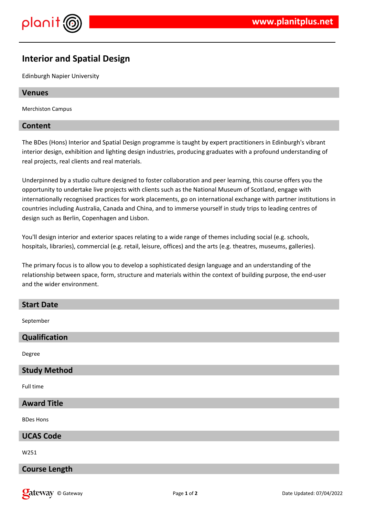

# **Interior and Spatial Design**

Edinburgh Napier University

### **Venues**

Merchiston Campus

## **Content**

The BDes (Hons) Interior and Spatial Design programme is taught by expert practitioners in Edinburgh's vibrant interior design, exhibition and lighting design industries, producing graduates with a profound understanding of real projects, real clients and real materials.

Underpinned by a studio culture designed to foster collaboration and peer learning, this course offers you the opportunity to undertake live projects with clients such as the National Museum of Scotland, engage with internationally recognised practices for work placements, go on international exchange with partner institutions in countries including Australia, Canada and China, and to immerse yourself in study trips to leading centres of design such as Berlin, Copenhagen and Lisbon.

You'll design interior and exterior spaces relating to a wide range of themes including social (e.g. schools, hospitals, libraries), commercial (e.g. retail, leisure, offices) and the arts (e.g. theatres, museums, galleries).

The primary focus is to allow you to develop a sophisticated design language and an understanding of the relationship between space, form, structure and materials within the context of building purpose, the end-user and the wider environment.

| <b>Start Date</b>    |
|----------------------|
| September            |
| Qualification        |
| Degree               |
| <b>Study Method</b>  |
| Full time            |
| <b>Award Title</b>   |
| <b>BDes Hons</b>     |
| <b>UCAS Code</b>     |
| W251                 |
| <b>Course Length</b> |